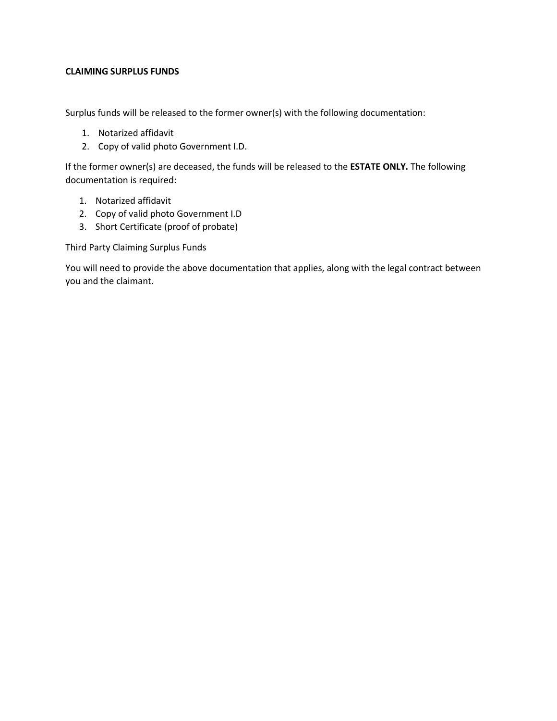## **CLAIMING SURPLUS FUNDS**

Surplus funds will be released to the former owner(s) with the following documentation:

- 1. Notarized affidavit
- 2. Copy of valid photo Government I.D.

If the former owner(s) are deceased, the funds will be released to the **ESTATE ONLY.** The following documentation is required:

- 1. Notarized affidavit
- 2. Copy of valid photo Government I.D
- 3. Short Certificate (proof of probate)

Third Party Claiming Surplus Funds

You will need to provide the above documentation that applies, along with the legal contract between you and the claimant.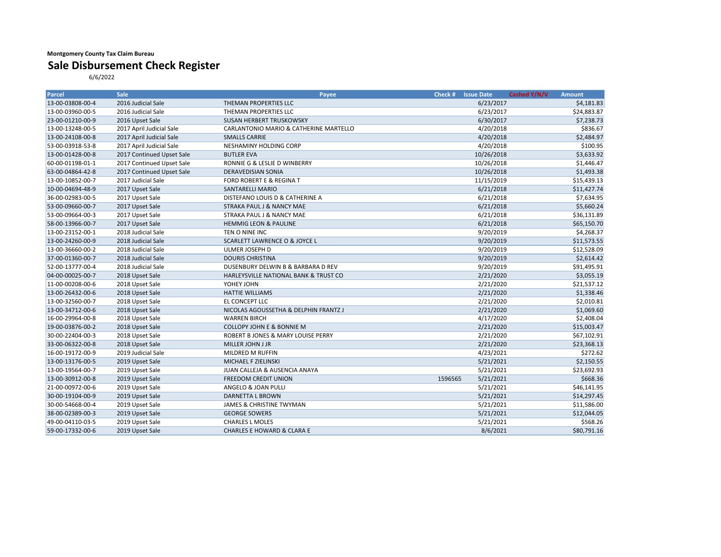## **Montgomery County Tax Claim Bureau**

## **Sale Disbursement Check Register**

6/6/2022

| Parcel           | <b>Sale</b>               | Payee                                    | Check #   | <b>Issue Date</b> | Cashed Y/N/V | <b>Amount</b> |
|------------------|---------------------------|------------------------------------------|-----------|-------------------|--------------|---------------|
| 13-00-03808-00-4 | 2016 Judicial Sale        | THEMAN PROPERTIES LLC                    |           | 6/23/2017         |              | \$4,181.83    |
| 13-00-03960-00-5 | 2016 Judicial Sale        | THEMAN PROPERTIES LLC                    | 6/23/2017 |                   | \$24,883.87  |               |
| 23-00-01210-00-9 | 2016 Upset Sale           | SUSAN HERBERT TRUSKOWSKY                 |           | 6/30/2017         |              | \$7,238.73    |
| 13-00-13248-00-5 | 2017 April Judicial Sale  | CARLANTONIO MARIO & CATHERINE MARTELLO   |           | 4/20/2018         |              | \$836.67      |
| 13-00-24108-00-8 | 2017 April Judicial Sale  | <b>SMALLS CARRIE</b>                     |           | 4/20/2018         |              | \$2,484.97    |
| 53-00-03918-53-8 | 2017 April Judicial Sale  | NESHAMINY HOLDING CORP                   |           | 4/20/2018         |              | \$100.95      |
| 13-00-01428-00-8 | 2017 Continued Upset Sale | <b>BUTLER EVA</b>                        |           | 10/26/2018        |              | \$3,633.92    |
| 60-00-01198-01-1 | 2017 Continued Upset Sale | RONNIE G & LESLIE D WINBERRY             |           | 10/26/2018        |              | \$1,446.47    |
| 63-00-04864-42-8 | 2017 Continued Upset Sale | DERAVEDISIAN SONIA                       |           | 10/26/2018        |              | \$1,493.38    |
| 13-00-10852-00-7 | 2017 Judicial Sale        | FORD ROBERT E & REGINA T                 |           | 11/15/2019        |              | \$15,439.13   |
| 10-00-04694-48-9 | 2017 Upset Sale           | SANTARELLI MARIO                         |           | 6/21/2018         |              | \$11,427.74   |
| 36-00-02983-00-5 | 2017 Upset Sale           | DISTEFANO LOUIS D & CATHERINE A          |           | 6/21/2018         |              | \$7,634.95    |
| 53-00-09660-00-7 | 2017 Upset Sale           | <b>STRAKA PAUL J &amp; NANCY MAE</b>     |           | 6/21/2018         |              | \$5,660.24    |
| 53-00-09664-00-3 | 2017 Upset Sale           | STRAKA PAUL J & NANCY MAE                |           | 6/21/2018         |              | \$36,131.89   |
| 58-00-13966-00-7 | 2017 Upset Sale           | <b>HEMMIG LEON &amp; PAULINE</b>         |           | 6/21/2018         |              | \$65,150.70   |
| 13-00-23152-00-1 | 2018 Judicial Sale        | TEN O NINE INC                           |           | 9/20/2019         |              | \$4,268.37    |
| 13-00-24260-00-9 | 2018 Judicial Sale        | <b>SCARLETT LAWRENCE O &amp; JOYCE L</b> |           | 9/20/2019         |              | \$11,573.55   |
| 13-00-36660-00-2 | 2018 Judicial Sale        | ULMER JOSEPH D                           |           | 9/20/2019         |              | \$12,528.09   |
| 37-00-01360-00-7 | 2018 Judicial Sale        | <b>DOURIS CHRISTINA</b>                  |           | 9/20/2019         |              | \$2,614.42    |
| 52-00-13777-00-4 | 2018 Judicial Sale        | DUSENBURY DELWIN B & BARBARA D REV       |           | 9/20/2019         |              | \$91,495.91   |
| 04-00-00025-00-7 | 2018 Upset Sale           | HARLEYSVILLE NATIONAL BANK & TRUST CO    |           | 2/21/2020         |              | \$3,055.19    |
| 11-00-00208-00-6 | 2018 Upset Sale           | YOHEY JOHN                               |           | 2/21/2020         |              | \$21,537.12   |
| 13-00-26432-00-6 | 2018 Upset Sale           | <b>HATTIE WILLIAMS</b>                   |           | 2/21/2020         |              | \$1,338.46    |
| 13-00-32560-00-7 | 2018 Upset Sale           | EL CONCEPT LLC                           |           | 2/21/2020         |              | \$2,010.81    |
| 13-00-34712-00-6 | 2018 Upset Sale           | NICOLAS AGOUSSETHA & DELPHIN FRANTZ J    |           | 2/21/2020         |              | \$1,069.60    |
| 16-00-29964-00-8 | 2018 Upset Sale           | <b>WARREN BIRCH</b>                      |           | 4/17/2020         |              | \$2,408.04    |
| 19-00-03876-00-2 | 2018 Upset Sale           | <b>COLLOPY JOHN E &amp; BONNIE M</b>     |           | 2/21/2020         |              | \$15,003.47   |
| 30-00-22404-00-3 | 2018 Upset Sale           | ROBERT B JONES & MARY LOUISE PERRY       |           | 2/21/2020         |              | \$67,102.91   |
| 33-00-06322-00-8 | 2018 Upset Sale           | MILLER JOHN J JR                         |           | 2/21/2020         |              | \$23,368.13   |
| 16-00-19172-00-9 | 2019 Judicial Sale        | MILDRED M RUFFIN                         |           | 4/23/2021         |              | \$272.62      |
| 13-00-13176-00-5 | 2019 Upset Sale           | MICHAEL F ZIELINSKI                      |           | 5/21/2021         |              | \$2,150.55    |
| 13-00-19564-00-7 | 2019 Upset Sale           | JUAN CALLEJA & AUSENCIA ANAYA            |           | 5/21/2021         |              | \$23,692.93   |
| 13-00-30912-00-8 | 2019 Upset Sale           | FREEDOM CREDIT UNION                     | 1596565   | 5/21/2021         |              | \$668.36      |
| 21-00-00972-00-6 | 2019 Upset Sale           | ANGELO & JOAN PULLI                      |           | 5/21/2021         |              | \$46,141.95   |
| 30-00-19104-00-9 | 2019 Upset Sale           | DARNETTA L BROWN                         |           | 5/21/2021         |              | \$14,297.45   |
| 30-00-54668-00-4 | 2019 Upset Sale           | JAMES & CHRISTINE TWYMAN                 |           | 5/21/2021         |              | \$11,586.00   |
| 38-00-02389-00-3 | 2019 Upset Sale           | <b>GEORGE SOWERS</b>                     |           | 5/21/2021         |              | \$12,044.05   |
| 49-00-04110-03-5 | 2019 Upset Sale           | <b>CHARLES L MOLES</b>                   |           | 5/21/2021         |              | \$568.26      |
| 59-00-17332-00-6 | 2019 Upset Sale           | <b>CHARLES E HOWARD &amp; CLARA E</b>    |           | 8/6/2021          |              | \$80,791.16   |